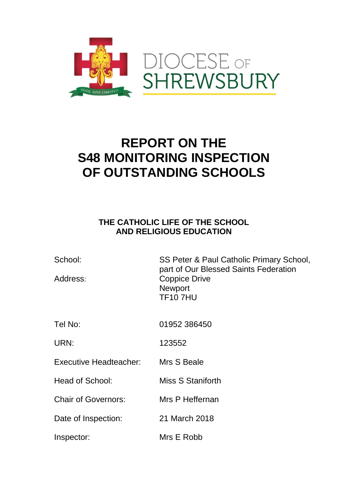

# **REPORT ON THE S48 MONITORING INSPECTION OF OUTSTANDING SCHOOLS**

## **THE CATHOLIC LIFE OF THE SCHOOL AND RELIGIOUS EDUCATION**

| School:<br>Address:           | SS Peter & Paul Catholic Primary School,<br>part of Our Blessed Saints Federation<br><b>Coppice Drive</b><br><b>Newport</b><br><b>TF107HU</b> |
|-------------------------------|-----------------------------------------------------------------------------------------------------------------------------------------------|
| Tel No:                       | 01952 386450                                                                                                                                  |
| URN:                          | 123552                                                                                                                                        |
| <b>Executive Headteacher:</b> | Mrs S Beale                                                                                                                                   |
| <b>Head of School:</b>        | Miss S Staniforth                                                                                                                             |
| <b>Chair of Governors:</b>    | Mrs P Heffernan                                                                                                                               |
| Date of Inspection:           | 21 March 2018                                                                                                                                 |
| Inspector:                    | Mrs E Robb                                                                                                                                    |
|                               |                                                                                                                                               |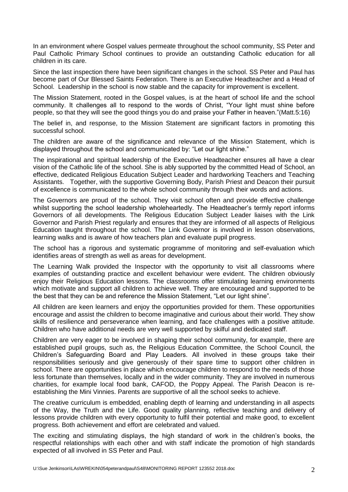In an environment where Gospel values permeate throughout the school community, SS Peter and Paul Catholic Primary School continues to provide an outstanding Catholic education for all children in its care.

Since the last inspection there have been significant changes in the school. SS Peter and Paul has become part of Our Blessed Saints Federation. There is an Executive Headteacher and a Head of School. Leadership in the school is now stable and the capacity for improvement is excellent.

The Mission Statement, rooted in the Gospel values, is at the heart of school life and the school community. It challenges all to respond to the words of Christ, "Your light must shine before people, so that they will see the good things you do and praise your Father in heaven."(Matt.5:16)

The belief in, and response, to the Mission Statement are significant factors in promoting this successful school.

The children are aware of the significance and relevance of the Mission Statement, which is displayed throughout the school and communicated by: "Let our light shine."

The inspirational and spiritual leadership of the Executive Headteacher ensures all have a clear vision of the Catholic life of the school. She is ably supported by the committed Head of School, an effective, dedicated Religious Education Subject Leader and hardworking Teachers and Teaching Assistants. Together, with the supportive Governing Body, Parish Priest and Deacon their pursuit of excellence is communicated to the whole school community through their words and actions.

The Governors are proud of the school. They visit school often and provide effective challenge whilst supporting the school leadership wholeheartedly. The Headteacher's termly report informs Governors of all developments. The Religious Education Subject Leader liaises with the Link Governor and Parish Priest regularly and ensures that they are informed of all aspects of Religious Education taught throughout the school. The Link Governor is involved in lesson observations, learning walks and is aware of how teachers plan and evaluate pupil progress.

The school has a rigorous and systematic programme of monitoring and self-evaluation which identifies areas of strength as well as areas for development.

The Learning Walk provided the Inspector with the opportunity to visit all classrooms where examples of outstanding practice and excellent behaviour were evident. The children obviously enjoy their Religious Education lessons. The classrooms offer stimulating learning environments which motivate and support all children to achieve well. They are encouraged and supported to be the best that they can be and reference the Mission Statement, "Let our light shine".

All children are keen learners and enjoy the opportunities provided for them. These opportunities encourage and assist the children to become imaginative and curious about their world. They show skills of resilience and perseverance when learning, and face challenges with a positive attitude. Children who have additional needs are very well supported by skilful and dedicated staff.

Children are very eager to be involved in shaping their school community, for example, there are established pupil groups, such as, the Religious Education Committee, the School Council, the Children's Safeguarding Board and Play Leaders. All involved in these groups take their responsibilities seriously and give generously of their spare time to support other children in school. There are opportunities in place which encourage children to respond to the needs of those less fortunate than themselves, locally and in the wider community. They are involved in numerous charities, for example local food bank, CAFOD, the Poppy Appeal. The Parish Deacon is reestablishing the Mini Vinnies. Parents are supportive of all the school seeks to achieve.

The creative curriculum is embedded, enabling depth of learning and understanding in all aspects of the Way, the Truth and the Life. Good quality planning, reflective teaching and delivery of lessons provide children with every opportunity to fulfil their potential and make good, to excellent progress. Both achievement and effort are celebrated and valued.

The exciting and stimulating displays, the high standard of work in the children's books, the respectful relationships with each other and with staff indicate the promotion of high standards expected of all involved in SS Peter and Paul.